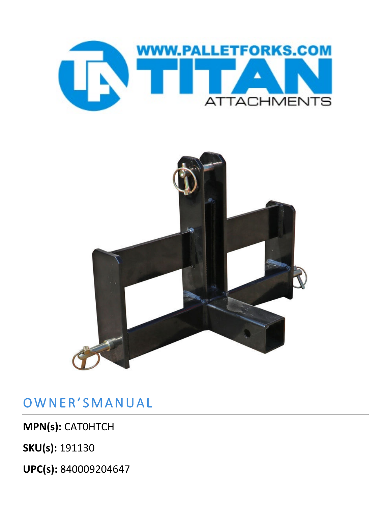



## OWNER'SMANUAL

**MPN(s):** CAT0HTCH

**SKU(s):** 191130

**UPC(s):** 840009204647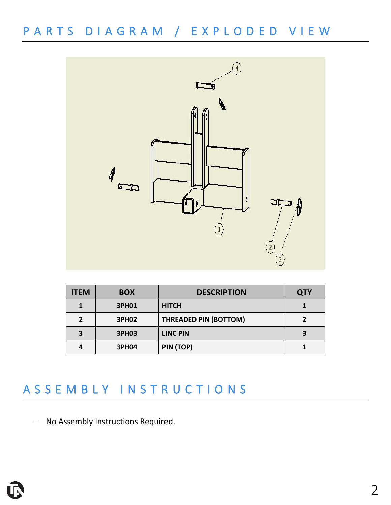PARTS DIAGRAM / EXPLODED VIEW



| <b>ITEM</b> | <b>BOX</b>   | <b>DESCRIPTION</b>           | <b>QTY</b> |
|-------------|--------------|------------------------------|------------|
|             | <b>3PH01</b> | <b>HITCH</b>                 |            |
| 2           | <b>3PH02</b> | <b>THREADED PIN (BOTTOM)</b> |            |
| 3           | <b>3PH03</b> | <b>LINC PIN</b>              |            |
| 4           | <b>3PH04</b> | PIN (TOP)                    |            |

#### ASSEMBLY INSTRUCTIONS

− No Assembly Instructions Required.